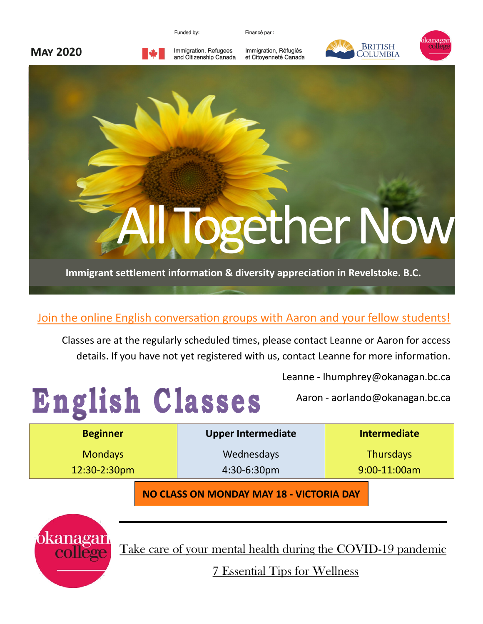Funded by:

Financé par :



Immigration, Refugees and Citizenship Canada Immigration, Réfugiés et Citoyenneté Canada







#### Join the online English conversation groups with Aaron and your fellow students!

Classes are at the regularly scheduled times, please contact Leanne or Aaron for access details. If you have not yet registered with us, contact Leanne for more information.

Leanne - lhumphrey@okanagan.bc.ca

Aaron - aorlando@okanagan.bc.ca

| <b>Beginner</b> | <b>Upper Intermediate</b> | <b>Intermediate</b> |
|-----------------|---------------------------|---------------------|
| <b>Mondays</b>  | Wednesdays                | <b>Thursdays</b>    |
| $12:30-2:30$ pm | $4:30-6:30pm$             | 9:00-11:00am        |
|                 |                           |                     |

**NO CLASS ON MONDAY MAY 18 - VICTORIA DAY**



English Classes

[Take care of your mental health during the COVID-19 pandemic](https://www.okanagan.bc.ca/covid19/Mental_Health_Resources.html)

[7 Essential Tips for Wellness](https://www.okanagan.bc.ca/covid19/Mental_Health_Resources.html)